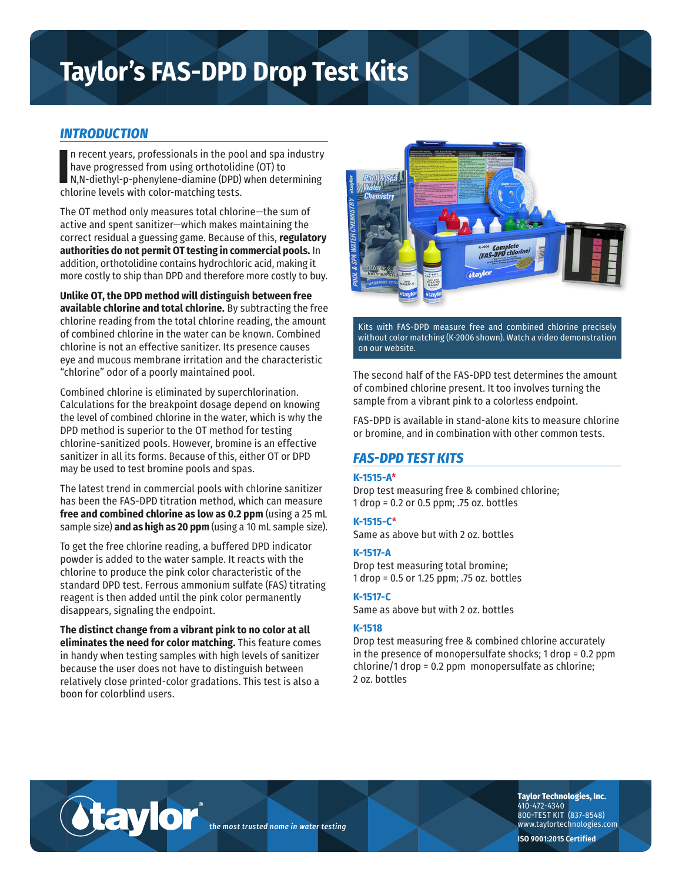# **Taylor's FAS-DPD Drop Test Kits**

## *INTRODUCTION*

In recent years, professionals in the poor have progressed from using orthotoliding, N,N-diethyl-p-phenylene-diamine (DPD) chlorine levels with color-matching tests. n recent years, professionals in the pool and spa industry have progressed from using orthotolidine (OT) to N,N-diethyl-p-phenylene-diamine (DPD) when determining

The OT method only measures total chlorine—the sum of active and spent sanitizer—which makes maintaining the correct residual a guessing game. Because of this, **regulatory authorities do not permit OT testing in commercial pools.** In addition, orthotolidine contains hydrochloric acid, making it more costly to ship than DPD and therefore more costly to buy.

**Unlike OT, the DPD method will distinguish between free available chlorine and total chlorine.** By subtracting the free chlorine reading from the total chlorine reading, the amount of combined chlorine in the water can be known. Combined chlorine is not an effective sanitizer. Its presence causes eye and mucous membrane irritation and the characteristic "chlorine" odor of a poorly maintained pool.

Combined chlorine is eliminated by superchlorination. Calculations for the breakpoint dosage depend on knowing the level of combined chlorine in the water, which is why the DPD method is superior to the OT method for testing chlorine-sanitized pools. However, bromine is an effective sanitizer in all its forms. Because of this, either OT or DPD may be used to test bromine pools and spas.

The latest trend in commercial pools with chlorine sanitizer has been the FAS-DPD titration method, which can measure **free and combined chlorine as low as 0.2 ppm** (using a 25 mL sample size) **and as high as 20 ppm** (using a 10 mL sample size).

To get the free chlorine reading, a buffered DPD indicator powder is added to the water sample. It reacts with the chlorine to produce the pink color characteristic of the standard DPD test. Ferrous ammonium sulfate (FAS) titrating reagent is then added until the pink color permanently disappears, signaling the endpoint.

**The distinct change from a vibrant pink to no color at all eliminates the need for color matching.** This feature comes in handy when testing samples with high levels of sanitizer because the user does not have to distinguish between relatively close printed-color gradations. This test is also a boon for colorblind users.

®

taylor



Kits with FAS-DPD measure free and combined chlorine precisely without color matching (K-2006 shown). Watch a video demonstration on our website.

The second half of the FAS-DPD test determines the amount of combined chlorine present. It too involves turning the sample from a vibrant pink to a colorless endpoint.

FAS-DPD is available in stand-alone kits to measure chlorine or bromine, and in combination with other common tests.

## *FAS-DPD TEST KITS*

#### **K-1515-A**\*

Drop test measuring free & combined chlorine; 1 drop = 0.2 or 0.5 ppm; .75 oz. bottles

**K-1515-C**\*

Same as above but with 2 oz. bottles

## **K-1517-A**

Drop test measuring total bromine; 1 drop = 0.5 or 1.25 ppm; .75 oz. bottles

## **K-1517-C**

Same as above but with 2 oz. bottles

## **K-1518**

Drop test measuring free & combined chlorine accurately in the presence of monopersulfate shocks; 1 drop = 0.2 ppm chlorine/1 drop = 0.2 ppm monopersulfate as chlorine; 2 oz. bottles



**Taylor Technologies, Inc.** 410-472-4340 800-TEST KIT (837-8548) www.taylortechnologies.com

**ISO 9001:2015 Certified**